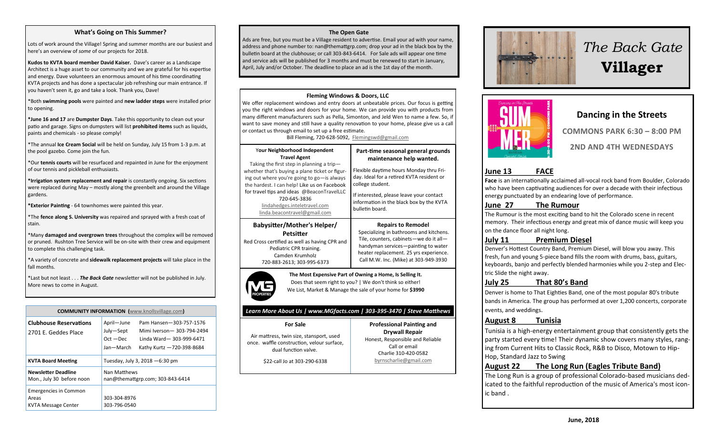#### **What's Going on This Summer?**

Lots of work around the Village! Spring and summer months are our busiest and here's an overview of *some* of our projects for 2018.

**Kudos to KVTA board member David Kaiser.** Dave's career as a Landscape Architect is a huge asset to our community and we are grateful for his expertise and energy. Dave volunteers an enormous amount of his time coordinating KVTA projects and has done a spectacular job refreshing our main entrance. If you haven't seen it, go and take a look. Thank you, Dave!

\*Both **swimming pools** were painted and **new ladder steps** were installed prior to opening.

**\*June 16 and 17** are **Dumpster Days**. Take this opportunity to clean out your patio and garage. Signs on dumpsters will list **prohibited items** such as liquids, paints and chemicals - so please comply!

\*The annual **Ice Cream Social** will be held on Sunday, July 15 from 1-3 p.m. at the pool gazebo. Come join the fun.

\*Our **tennis courts** will be resurfaced and repainted in June for the enjoyment of our tennis and pickleball enthusiasts.

**\*Irrigation system replacement and repair** is constantly ongoing. Six sections were replaced during May – mostly along the greenbelt and around the Village gardens.

**\*Exterior Painting** - 64 townhomes were painted this year.

\*The **fence along S. University** was repaired and sprayed with a fresh coat of stain.

\*Many **damaged and overgrown trees** throughout the complex will be removed or pruned. Rushton Tree Service will be on-site with their crew and equipment to complete this challenging task.

\*A variety of concrete and **sidewalk replacement projects** will take place in the fall months.

\*Last but not least . . . *The Back Gate* newsletter will not be published in July. More news to come in August.

**COMMUNITY INFORMATION (**[www.knollsvillage.com](http://www.knollsvillage.com)**) Clubhouse Reservations**  2701 E. Geddes Place April—June Pam Hansen—303-757-1576 July—Sept Mimi Iverson— 303-794-2494 Oct —Dec Linda Ward— 303-999-6471 Jan—March Kathy Kurtz —720-398-8684 **KVTA Board Meeting** Tuesday, July 3, 2018 —6:30 pm **Newsletter Deadline** Mon., July 30 before noon Nan Matthews nan@themattgrp.com; 303-843-6414 Emergencies in Common Areas KVTA Message Center 303-304-8976 303-796-0540

#### **The Open Gate**

Ads are free, but you must be a Village resident to advertise. Email your ad with your name, address and phone number to: nan@themattgrp.com; drop your ad in the black box by the bulletin board at the clubhouse; or call 303-843-6414. For Sale ads will appear one time and service ads will be published for 3 months and must be renewed to start in January, April, July and/or October. The deadline to place an ad is the 1st day of the month.

#### **Fleming Windows & Doors, LLC**

We offer replacement windows and entry doors at unbeatable prices. Our focus is getting you the right windows and doors for your home. We can provide you with products from many different manufacturers such as Pella, Simonton, and Jeld Wen to name a few. So, if want to save money and still have a quality renovation to your home, please give us a call or contact us through email to set up a free estimate.

Bill Fleming, 720-628-5092, [Flemingswd@gmail.com](mailto:Flemingswd@gmail.com)

| Your Neighborhood Independent<br><b>Travel Agent</b><br>Taking the first step in planning a trip-<br>whether that's buying a plane ticket or figur-<br>ing out where you're going to go-is always<br>the hardest. I can help! Like us on Facebook<br>for travel tips and ideas @BeaconTravelLLC<br>720-645-3836<br>lindahedges.inteletravel.com | Part-time seasonal general grounds<br>maintenance help wanted.<br>Flexible daytime hours Monday thru Fri-<br>day. Ideal for a retired KVTA resident or<br>college student.<br>If interested, please leave your contact<br>information in the black box by the KVTA |
|-------------------------------------------------------------------------------------------------------------------------------------------------------------------------------------------------------------------------------------------------------------------------------------------------------------------------------------------------|--------------------------------------------------------------------------------------------------------------------------------------------------------------------------------------------------------------------------------------------------------------------|
| linda.beacontravel@gmail.com                                                                                                                                                                                                                                                                                                                    | bulletin board.                                                                                                                                                                                                                                                    |
| Babysitter/Mother's Helper/                                                                                                                                                                                                                                                                                                                     | <b>Repairs to Remodel</b>                                                                                                                                                                                                                                          |
| Petsitter                                                                                                                                                                                                                                                                                                                                       | Specializing in bathrooms and kitchens.                                                                                                                                                                                                                            |
| Red Cross certified as well as having CPR and                                                                                                                                                                                                                                                                                                   | Tile, counters, cabinets-we do it all-                                                                                                                                                                                                                             |
| Pediatric CPR training.                                                                                                                                                                                                                                                                                                                         | handyman services-painting to water                                                                                                                                                                                                                                |
| Camden Krumholz                                                                                                                                                                                                                                                                                                                                 | heater replacement. 25 yrs experience.                                                                                                                                                                                                                             |
| 720-883-2613: 303-995-6373                                                                                                                                                                                                                                                                                                                      | Call M.W. Inc. (Mike) at 303-949-3930                                                                                                                                                                                                                              |



**The Most Expensive Part of Owning a Home, Is Selling It.** Does that seem right to you? | We don't think so either! We List, Market & Manage the sale of your home for **\$3990**

#### *Learn More About Us | www.MGfacts.com | 303-395-3470 | Steve Matthews*

#### **For Sale** Air mattress, twin size, stansport, used once. waffle construction, velour surface,

**Drywall Repair** Honest, Responsible and Reliable Call or email Charlie 310-420-0582

**Professional Painting and** 

[byrnscharlie@gmail.com](mailto:byrnscharlie@gmail.com)

dual function valve. \$22-call Jo at 303-290-6338



# *The Back Gate*  **Villager**



#### **Dancing in the Streets**

**COMMONS PARK 6:30 – 8:00 PM 2ND AND 4TH WEDNESDAYS**

#### **June 13 FACE**

**Face** is an internationally acclaimed all-vocal rock band from Boulder, Colorado who have been captivating audiences for over a decade with their infectious energy punctuated by an endearing love of performance.

#### **June 27 The Rumour**

The Rumour is the most exciting band to hit the Colorado scene in recent memory. Their infectious energy and great mix of dance music will keep you on the dance floor all night long.

#### **July 11 Premium Diesel**

Denver's Hottest Country Band, Premium Diesel, will blow you away. This fresh, fun and young 5-piece band fills the room with drums, bass, guitars, keyboards, banjo and perfectly blended harmonies while you 2-step and Elec tric Slide the night away.

#### **July 25 That 80's Band**

Denver is home to That Eighties Band, one of the most popular 80's tribute bands in America. The group has performed at over 1,200 concerts, corporate events, and weddings.

#### **August 8 Tunisia**

Tunisia is a high-energy entertainment group that consistently gets the party started every time! Their dynamic show covers many styles, rang ing from Current Hits to Classic Rock, R&B to Disco, Motown to Hip-Hop, Standard Jazz to Swing

#### **August 22 The Long Run (Eagles Tribute Band)**

The Long Run is a group of professional Colorado-based musicians ded icated to the faithful reproduction of the music of America's most icon ic band .